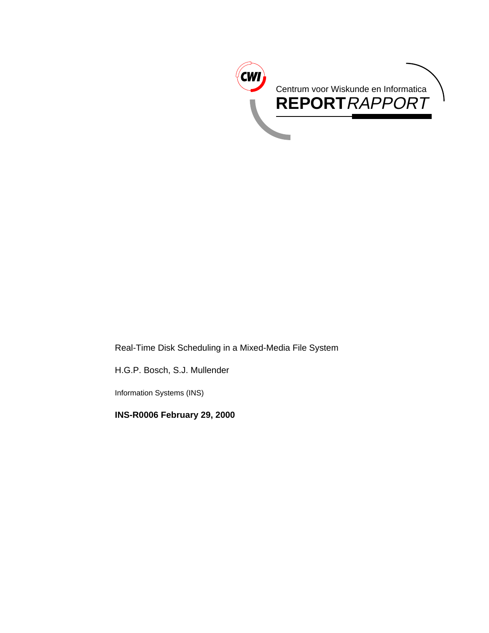

Real-Time Disk Scheduling in a Mixed-Media File System

H.G.P. Bosch, S.J. Mullender

Information Systems (INS)

**INS-R0006 February 29, 2000**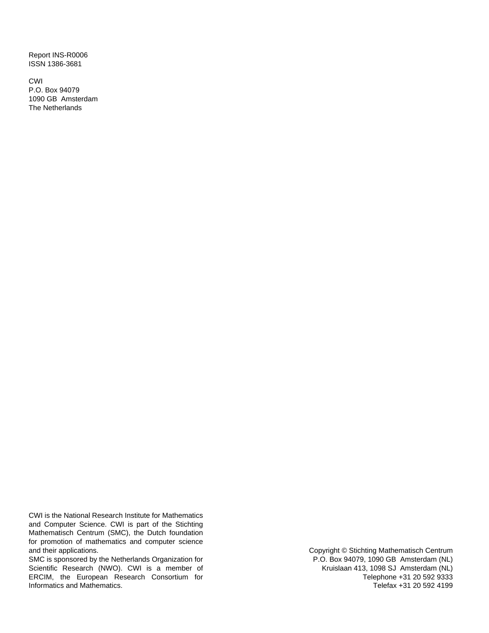Report INS-R0006 ISSN 1386-3681

CWI P.O. Box 94079 1090 GB Amsterdam The Netherlands

CWI is the National Research Institute for Mathematics and Computer Science. CWI is part of the Stichting Mathematisch Centrum (SMC), the Dutch foundation for promotion of mathematics and computer science and their applications.

SMC is sponsored by the Netherlands Organization for Scientific Research (NWO). CWI is a member of ERCIM, the European Research Consortium for Informatics and Mathematics.

Copyright © Stichting Mathematisch Centrum P.O. Box 94079, 1090 GB Amsterdam (NL) Kruislaan 413, 1098 SJ Amsterdam (NL) Telephone +31 20 592 9333 Telefax +31 20 592 4199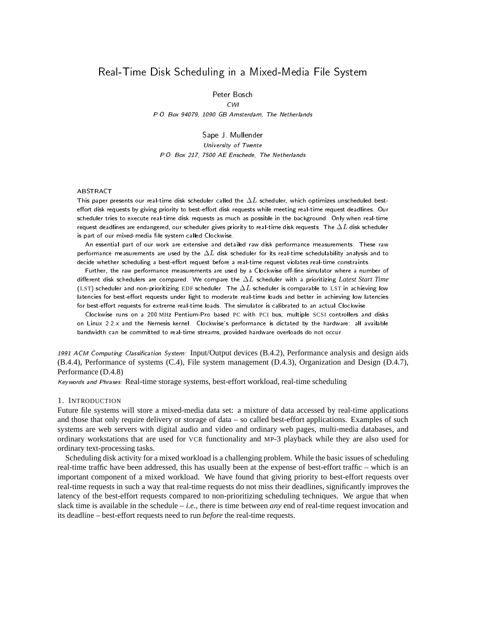# Real-Time Disk Scheduling in <sup>a</sup> Mixed-Media File System

Peter Bosch  $CMI$ 

P.O. Box 94079, 1090 GB Amsterdam, The Netherlands

## Sape J. Mullender

University of Twente P.O. Box 217, 7500 AE Enschede, The Netherlands

#### ABSTRACT

This paper presents our real-time disk scheduler called the  $\Delta L$  scheduler, which optimizes unscheduled besteffort disk requests by giving priority to best-effort disk requests while meeting real-time request deadlines. Our scheduler tries to execute real-time disk requests as much as possible in the background. Only when real-time request deadlines are endangered, our scheduler gives priority to real-time disk requests. The  $\Delta L$  disk scheduler is part of our mixed-media file system called Clockwise.

An essential part of our work are extensive and detailed raw disk performance measurements. These raw performance measurements are used by the  $\Delta L$  disk scheduler for its real-time schedulability analysis and to decide whether scheduling a best-effort request before a real-time request violates real-time constraints.

Further, the raw performance measurements are used by a Clockwise off-line simulator where a number of different disk schedulers are compared. We compare the  $\Delta L$  scheduler with a prioritizing *Latest Start Time* (LST) scheduler and non-prioritizing EDF scheduler. The  $\Delta L$  scheduler is comparable to LST in achieving low latencies for best-effort requests under light to moderate real-time loads and better in achieving low latencies for best-effort requests for extreme real-time loads. The simulator is calibrated to an actual Clockwise.

Clockwise runs on a 200 MHz Pentium-Pro based PC with PCI bus, multiple SCSI controllers and disks on Linux 2.2.x and the Nemesis kernel. Clockwise's performance is dictated by the hardware: all available bandwidth can be committed to real-time streams, provided hardware overloads do not occur.

1991 ACM Computing Classication System: Input/Output devices (B.4.2), Performance analysis and design aids (B.4.4), Performance of systems (C.4), File system management (D.4.3), Organization and Design (D.4.7), Performance (D.4.8)

Keywords and Phrases: Real-time storage systems, best-effort workload, real-time scheduling

### 1. INTRODUCTION

Future file systems will store a mixed-media data set: a mixture of data accessed by real-time applications and those that only require delivery or storage of data – so called best-effort applications. Examples of such systems are web servers with digital audio and video and ordinary web pages, multi-media databases, and ordinary workstations that are used for VCR functionality and MP-3 playback while they are also used for ordinary text-processing tasks.

Scheduling disk activity for a mixed workload is a challenging problem. While the basic issues of scheduling real-time traffic have been addressed, this has usually been at the expense of best-effort traffic – which is an important component of a mixed workload. We have found that giving priority to best-effort requests over real-time requests in such a way that real-time requests do not miss their deadlines, significantly improves the latency of the best-effort requests compared to non-prioritizing scheduling techniques. We argue that when slack time is available in the schedule – *i.e.*, there is time between *any* end of real-time request invocation and its deadline – best-effort requests need to run *before* the real-time requests.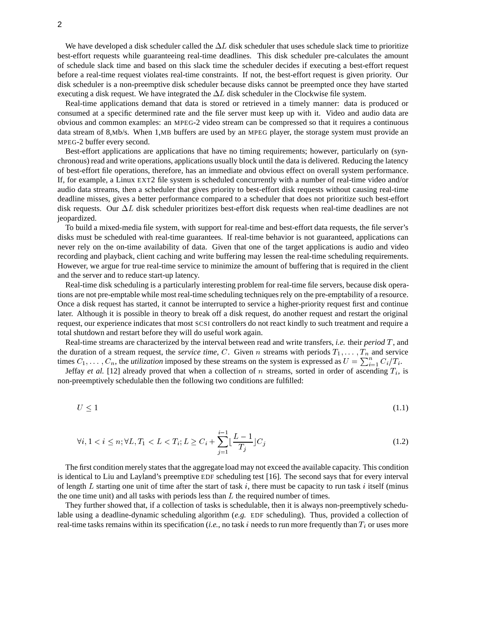We have developed a disk scheduler called the  $\Delta L$  disk scheduler that uses schedule slack time to prioritize best-effort requests while guaranteeing real-time deadlines. This disk scheduler pre-calculates the amount of schedule slack time and based on this slack time the scheduler decides if executing a best-effort request before a real-time request violates real-time constraints. If not, the best-effort request is given priority. Our disk scheduler is a non-preemptive disk scheduler because disks cannot be preempted once they have started executing a disk request. We have integrated the  $\Delta L$  disk scheduler in the Clockwise file system.

Real-time applications demand that data is stored or retrieved in a timely manner: data is produced or consumed at a specific determined rate and the file server must keep up with it. Video and audio data are obvious and common examples: an MPEG-2 video stream can be compressed so that it requires a continuous data stream of 8,Mb/s. When 1,MB buffers are used by an MPEG player, the storage system must provide an MPEG-2 buffer every second.

Best-effort applications are applications that have no timing requirements; however, particularly on (synchronous) read and write operations, applications usually block until the data is delivered. Reducing the latency of best-effort file operations, therefore, has an immediate and obvious effect on overall system performance. If, for example, a Linux EXT2 file system is scheduled concurrently with a number of real-time video and/or audio data streams, then a scheduler that gives priority to best-effort disk requests without causing real-time deadline misses, gives a better performance compared to a scheduler that does not prioritize such best-effort disk requests. Our  $\Delta L$  disk scheduler prioritizes best-effort disk requests when real-time deadlines are not jeopardized.

To build a mixed-media file system, with support for real-time and best-effort data requests, the file server's disks must be scheduled with real-time guarantees. If real-time behavior is not guaranteed, applications can never rely on the on-time availability of data. Given that one of the target applications is audio and video recording and playback, client caching and write buffering may lessen the real-time scheduling requirements. However, we argue for true real-time service to minimize the amount of buffering that is required in the client and the server and to reduce start-up latency.

Real-time disk scheduling is a particularly interesting problem for real-time file servers, because disk operations are not pre-emptable while most real-time scheduling techniques rely on the pre-emptability of a resource. Once a disk request has started, it cannot be interrupted to service a higher-priority request first and continue later. Although it is possible in theory to break off a disk request, do another request and restart the original request, our experience indicates that most SCSI controllers do not react kindly to such treatment and require a total shutdown and restart before they will do useful work again.

Real-time streams are characterized by the interval between read and write transfers, *i.e.* their *period* <sup>T</sup> , and the duration of a stream request, the *service time*, C. Given n streams with periods  $T_1, \ldots, T_n$  and service times  $C_1,\ldots,C_n$ , the *utilization* imposed by these streams on the system is expressed as  $U = \sum_{i=1}^n C_i/T_i$ .

Jeffay *et al.* [12] already proved that when a collection of n streams, sorted in order of ascending  $T_i$ , is non-preemptively schedulable then the following two conditions are fulfilled:

$$
U \le 1\tag{1.1}
$$

$$
\forall i, 1 < i \leq n; \forall L, T_1 < L < T_i; L \geq C_i + \sum_{j=1}^{i-1} \left\lfloor \frac{L-1}{T_j} \right\rfloor C_j \tag{1.2}
$$

The first condition merely states that the aggregate load may not exceed the available capacity. This condition is identical to Liu and Layland's preemptive EDF scheduling test [16]. The second says that for every interval of length L starting one unit of time after the start of task i, there must be capacity to run task i itself (minus the one time unit) and all tasks with periods less than  $L$  the required number of times.

They further showed that, if a collection of tasks is schedulable, then it is always non-preemptively schedulable using a deadline-dynamic scheduling algorithm (*e.g.* EDF scheduling). Thus, provided a collection of real-time tasks remains within its specification (*i.e.*, no task  $i$  needs to run more frequently than  $T_i$  or uses more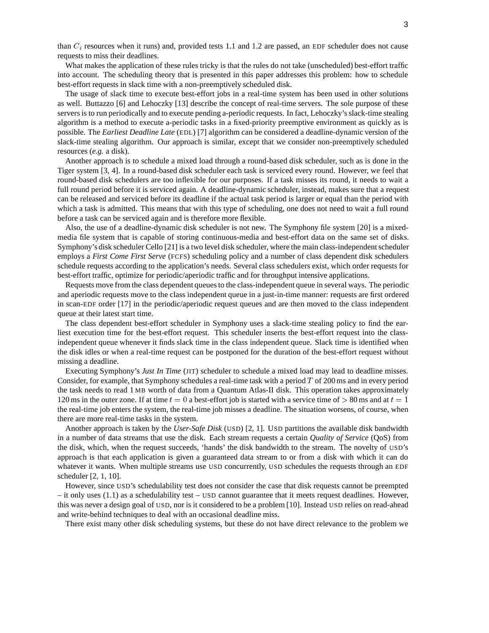than  $C_i$  resources when it runs) and, provided tests 1.1 and 1.2 are passed, an EDF scheduler does not cause requests to miss their deadlines.

What makes the application of these rules tricky is that the rules do not take (unscheduled) best-effort traffic into account. The scheduling theory that is presented in this paper addresses this problem: how to schedule best-effort requests in slack time with a non-preemptively scheduled disk.

The usage of slack time to execute best-effort jobs in a real-time system has been used in other solutions as well. Buttazzo [6] and Lehoczky [13] describe the concept of real-time servers. The sole purpose of these servers is to run periodically and to execute pending a-periodic requests. In fact, Lehoczky's slack-time stealing algorithm is a method to execute a-periodic tasks in a fixed-priority preemptive environment as quickly as is possible. The *Earliest Deadline Late* (EDL) [7] algorithm can be considered a deadline-dynamic version of the slack-time stealing algorithm. Our approach is similar, except that we consider non-preemptively scheduled resources (*e.g.* a disk).

Another approach is to schedule a mixed load through a round-based disk scheduler, such as is done in the Tiger system [3, 4]. In a round-based disk scheduler each task is serviced every round. However, we feel that round-based disk schedulers are too inflexible for our purposes. If a task misses its round, it needs to wait a full round period before it is serviced again. A deadline-dynamic scheduler, instead, makes sure that a request can be released and serviced before its deadline if the actual task period is larger or equal than the period with which a task is admitted. This means that with this type of scheduling, one does not need to wait a full round before a task can be serviced again and is therefore more flexible.

Also, the use of a deadline-dynamic disk scheduler is not new. The Symphony file system [20] is a mixedmedia file system that is capable of storing continuous-media and best-effort data on the same set of disks. Symphony's disk scheduler Cello [21] is a two level disk scheduler, where the main class-independent scheduler employs a *First Come First Serve* (FCFS) scheduling policy and a number of class dependent disk schedulers schedule requests according to the application's needs. Several class schedulers exist, which order requests for best-effort traffic, optimize for periodic/aperiodic traffic and for throughput intensive applications.

Requests move from the class dependent queues to the class-independent queue in several ways. The periodic and aperiodic requests move to the class independent queue in a just-in-time manner: requests are first ordered in scan-EDF order [17] in the periodic/aperiodic request queues and are then moved to the class independent queue at their latest start time.

The class dependent best-effort scheduler in Symphony uses a slack-time stealing policy to find the earliest execution time for the best-effort request. This scheduler inserts the best-effort request into the classindependent queue whenever it finds slack time in the class independent queue. Slack time is identified when the disk idles or when a real-time request can be postponed for the duration of the best-effort request without missing a deadline.

Executing Symphony's *Just In Time* (JIT) scheduler to schedule a mixed load may lead to deadline misses. Consider, for example, that Symphony schedules a real-time task with a period <sup>T</sup> of 200 ms and in every period the task needs to read 1 MB worth of data from a Quantum Atlas-II disk. This operation takes approximately 120 ms in the outer zone. If at time  $t = 0$  a best-effort job is started with a service time of  $> 80$  ms and at  $t = 1$ the real-time job enters the system, the real-time job misses a deadline. The situation worsens, of course, when there are more real-time tasks in the system.

Another approach is taken by the *User-Safe Disk* (USD) [2, 1]. USD partitions the available disk bandwidth in a number of data streams that use the disk. Each stream requests a certain *Quality of Service* (QoS) from the disk, which, when the request succeeds, 'hands' the disk bandwidth to the stream. The novelty of USD's approach is that each application is given a guaranteed data stream to or from a disk with which it can do whatever it wants. When multiple streams use USD concurrently, USD schedules the requests through an EDF scheduler [2, 1, 10].

However, since USD's schedulability test does not consider the case that disk requests cannot be preempted – it only uses (1.1) as a schedulability test – USD cannot guarantee that it meets request deadlines. However, this was never a design goal of USD, nor is it considered to be a problem [10]. Instead USD relies on read-ahead and write-behind techniques to deal with an occasional deadline miss.

There exist many other disk scheduling systems, but these do not have direct relevance to the problem we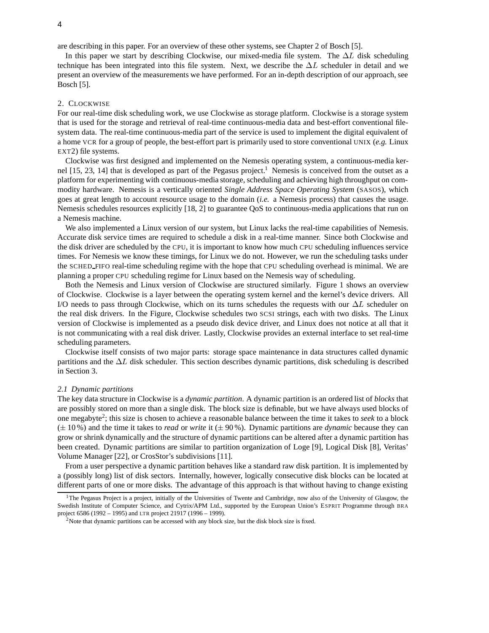are describing in this paper. For an overview of these other systems, see Chapter 2 of Bosch [5].

In this paper we start by describing Clockwise, our mixed-media file system. The  $\Delta L$  disk scheduling technique has been integrated into this file system. Next, we describe the  $\Delta L$  scheduler in detail and we present an overview of the measurements we have performed. For an in-depth description of our approach, see Bosch [5].

#### 2. CLOCKWISE

For our real-time disk scheduling work, we use Clockwise as storage platform. Clockwise is a storage system that is used for the storage and retrieval of real-time continuous-media data and best-effort conventional filesystem data. The real-time continuous-media part of the service is used to implement the digital equivalent of a home VCR for a group of people, the best-effort part is primarily used to store conventional UNIX (*e.g.* Linux EXT2) file systems.

Clockwise was first designed and implemented on the Nemesis operating system, a continuous-media kernel  $[15, 23, 14]$  that is developed as part of the Pegasus project.<sup>1</sup> Nemesis is conceived from the outset as a platform for experimenting with continuous-media storage, scheduling and achieving high throughput on commodity hardware. Nemesis is a vertically oriented *Single Address Space Operating System* (SASOS), which goes at great length to account resource usage to the domain (*i.e.* a Nemesis process) that causes the usage. Nemesis schedules resources explicitly [18, 2] to guarantee QoS to continuous-media applications that run on a Nemesis machine.

We also implemented a Linux version of our system, but Linux lacks the real-time capabilities of Nemesis. Accurate disk service times are required to schedule a disk in a real-time manner. Since both Clockwise and the disk driver are scheduled by the CPU, it is important to know how much CPU scheduling influences service times. For Nemesis we know these timings, for Linux we do not. However, we run the scheduling tasks under the SCHED FIFO real-time scheduling regime with the hope that CPU scheduling overhead is minimal. We are planning a proper CPU scheduling regime for Linux based on the Nemesis way of scheduling.

Both the Nemesis and Linux version of Clockwise are structured similarly. Figure 1 shows an overview of Clockwise. Clockwise is a layer between the operating system kernel and the kernel's device drivers. All I/O needs to pass through Clockwise, which on its turns schedules the requests with our  $\Delta L$  scheduler on the real disk drivers. In the Figure, Clockwise schedules two SCSI strings, each with two disks. The Linux version of Clockwise is implemented as a pseudo disk device driver, and Linux does not notice at all that it is not communicating with a real disk driver. Lastly, Clockwise provides an external interface to set real-time scheduling parameters.

Clockwise itself consists of two major parts: storage space maintenance in data structures called dynamic partitions and the  $\Delta L$  disk scheduler. This section describes dynamic partitions, disk scheduling is described in Section 3.

#### *2.1 Dynamic partitions*

The key data structure in Clockwise is a *dynamic partition*. A dynamic partition is an ordered list of *blocks* that are possibly stored on more than a single disk. The block size is definable, but we have always used blocks of one megabyte2; this size is chosen to achieve a reasonable balance between the time it takes to *seek* to a block  $(\pm 10\%)$  and the time it takes to *read* or *write* it  $(\pm 90\%)$ . Dynamic partitions are *dynamic* because they can grow or shrink dynamically and the structure of dynamic partitions can be altered after a dynamic partition has been created. Dynamic partitions are similar to partition organization of Loge [9], Logical Disk [8], Veritas' Volume Manager [22], or CrosStor's subdivisions [11].

From a user perspective a dynamic partition behaves like a standard raw disk partition. It is implemented by a (possibly long) list of disk sectors. Internally, however, logically consecutive disk blocks can be located at different parts of one or more disks. The advantage of this approach is that without having to change existing

<sup>&</sup>lt;sup>1</sup>The Pegasus Project is a project, initially of the Universities of Twente and Cambridge, now also of the University of Glasgow, the Swedish Institute of Computer Science, and Cytrix/APM Ltd., supported by the European Union's ESPRIT Programme through BRA project 6586 (1992 – 1995) and LTR project 21917 (1996 – 1999).

<sup>&</sup>lt;sup>2</sup>Note that dynamic partitions can be accessed with any block size, but the disk block size is fixed.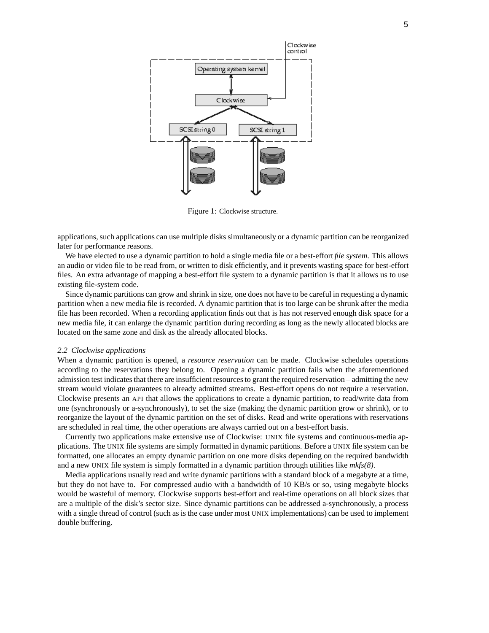

Figure 1: Clockwise structure.

applications, such applications can use multiple disks simultaneously or a dynamic partition can be reorganized later for performance reasons.

We have elected to use a dynamic partition to hold a single media file or a best-effort *file system*. This allows an audio or video file to be read from, or written to disk efficiently, and it prevents wasting space for best-effort files. An extra advantage of mapping a best-effort file system to a dynamic partition is that it allows us to use existing file-system code.

Since dynamic partitions can grow and shrink in size, one does not have to be careful in requesting a dynamic partition when a new media file is recorded. A dynamic partition that is too large can be shrunk after the media file has been recorded. When a recording application finds out that is has not reserved enough disk space for a new media file, it can enlarge the dynamic partition during recording as long as the newly allocated blocks are located on the same zone and disk as the already allocated blocks.

### *2.2 Clockwise applications*

When a dynamic partition is opened, a *resource reservation* can be made. Clockwise schedules operations according to the reservations they belong to. Opening a dynamic partition fails when the aforementioned admission test indicates that there are insufficient resources to grant the required reservation – admitting the new stream would violate guarantees to already admitted streams. Best-effort opens do not require a reservation. Clockwise presents an API that allows the applications to create a dynamic partition, to read/write data from one (synchronously or a-synchronously), to set the size (making the dynamic partition grow or shrink), or to reorganize the layout of the dynamic partition on the set of disks. Read and write operations with reservations are scheduled in real time, the other operations are always carried out on a best-effort basis.

Currently two applications make extensive use of Clockwise: UNIX file systems and continuous-media applications. The UNIX file systems are simply formatted in dynamic partitions. Before a UNIX file system can be formatted, one allocates an empty dynamic partition on one more disks depending on the required bandwidth and a new UNIX file system is simply formatted in a dynamic partition through utilities like *mkfs(8)*.

Media applications usually read and write dynamic partitions with a standard block of a megabyte at a time, but they do not have to. For compressed audio with a bandwidth of 10 KB/s or so, using megabyte blocks would be wasteful of memory. Clockwise supports best-effort and real-time operations on all block sizes that are a multiple of the disk's sector size. Since dynamic partitions can be addressed a-synchronously, a process with a single thread of control (such as is the case under most UNIX implementations) can be used to implement double buffering.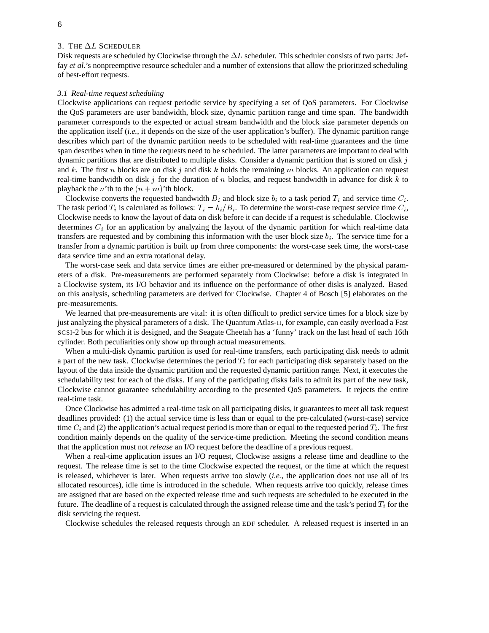### 3. THE  $\Delta L$  SCHEDULER

Disk requests are scheduled by Clockwise through the  $\Delta L$  scheduler. This scheduler consists of two parts: Jeffay *et al.*'s nonpreemptive resource scheduler and a number of extensions that allow the prioritized scheduling of best-effort requests.

## *3.1 Real-time request scheduling*

Clockwise applications can request periodic service by specifying a set of QoS parameters. For Clockwise the QoS parameters are user bandwidth, block size, dynamic partition range and time span. The bandwidth parameter corresponds to the expected or actual stream bandwidth and the block size parameter depends on the application itself (*i.e.*, it depends on the size of the user application's buffer). The dynamic partition range describes which part of the dynamic partition needs to be scheduled with real-time guarantees and the time span describes when in time the requests need to be scheduled. The latter parameters are important to deal with dynamic partitions that are distributed to multiple disks. Consider a dynamic partition that is stored on disk  $j$ and k. The first n blocks are on disk j and disk k holds the remaining m blocks. An application can request real-time bandwidth on disk j for the duration of n blocks, and request bandwidth in advance for disk  $k$  to playback the *n*'th to the  $(n + m)$ 'th block.

Clockwise converts the requested bandwidth  $B_i$  and block size  $b_i$  to a task period  $T_i$  and service time  $C_i$ . The task period  $T_i$  is calculated as follows:  $T_i = b_i/B_i$ . To determine the worst-case request service time  $C_i$ , Clockwise needs to know the layout of data on disk before it can decide if a request is schedulable. Clockwise determines  $C_i$  for an application by analyzing the layout of the dynamic partition for which real-time data transfers are requested and by combining this information with the user block size  $b_i$ . The service time for a transfer from a dynamic partition is built up from three components: the worst-case seek time, the worst-case data service time and an extra rotational delay.

The worst-case seek and data service times are either pre-measured or determined by the physical parameters of a disk. Pre-measurements are performed separately from Clockwise: before a disk is integrated in a Clockwise system, its I/O behavior and its influence on the performance of other disks is analyzed. Based on this analysis, scheduling parameters are derived for Clockwise. Chapter 4 of Bosch [5] elaborates on the pre-measurements.

We learned that pre-measurements are vital: it is often difficult to predict service times for a block size by just analyzing the physical parameters of a disk. The Quantum Atlas-II, for example, can easily overload a Fast SCSI-2 bus for which it is designed, and the Seagate Cheetah has a 'funny' track on the last head of each 16th cylinder. Both peculiarities only show up through actual measurements.

When a multi-disk dynamic partition is used for real-time transfers, each participating disk needs to admit a part of the new task. Clockwise determines the period  $T_i$  for each participating disk separately based on the layout of the data inside the dynamic partition and the requested dynamic partition range. Next, it executes the schedulability test for each of the disks. If any of the participating disks fails to admit its part of the new task, Clockwise cannot guarantee schedulability according to the presented QoS parameters. It rejects the entire real-time task.

Once Clockwise has admitted a real-time task on all participating disks, it guarantees to meet all task request deadlines provided: (1) the actual service time is less than or equal to the pre-calculated (worst-case) service time  $C_i$  and (2) the application's actual request period is more than or equal to the requested period  $T_i$ . The first condition mainly depends on the quality of the service-time prediction. Meeting the second condition means that the application must not *release* an I/O request before the deadline of a previous request.

When a real-time application issues an I/O request, Clockwise assigns a release time and deadline to the request. The release time is set to the time Clockwise expected the request, or the time at which the request is released, whichever is later. When requests arrive too slowly (*i.e.*, the application does not use all of its allocated resources), idle time is introduced in the schedule. When requests arrive too quickly, release times are assigned that are based on the expected release time and such requests are scheduled to be executed in the future. The deadline of a request is calculated through the assigned release time and the task's period  $T_i$  for the disk servicing the request.

Clockwise schedules the released requests through an EDF scheduler. A released request is inserted in an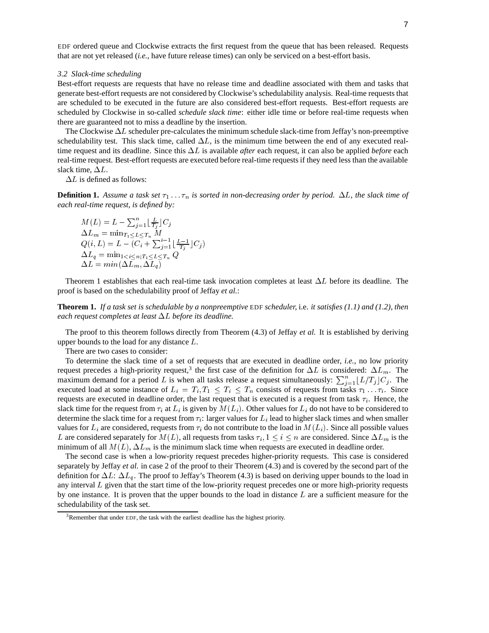EDF ordered queue and Clockwise extracts the first request from the queue that has been released. Requests that are not yet released (*i.e.*, have future release times) can only be serviced on a best-effort basis.

### *3.2 Slack-time scheduling*

Best-effort requests are requests that have no release time and deadline associated with them and tasks that generate best-effort requests are not considered by Clockwise's schedulability analysis. Real-time requests that are scheduled to be executed in the future are also considered best-effort requests. Best-effort requests are scheduled by Clockwise in so-called *schedule slack time*: either idle time or before real-time requests when there are guaranteed not to miss a deadline by the insertion.

The Clockwise  $\Delta L$  scheduler pre-calculates the minimum schedule slack-time from Jeffay's non-preemptive schedulability test. This slack time, called  $\Delta L$ , is the minimum time between the end of any executed realtime request and its deadline. Since this  $\Delta L$  is available *after* each request, it can also be applied *before* each real-time request. Best-effort requests are executed before real-time requests if they need less than the available slack time,  $\Delta L$ .

 $\Delta L$  is defined as follows:

**Definition 1.** Assume a task set  $\tau_1 \ldots \tau_n$  is sorted in non-decreasing order by period.  $\Delta L$ , the slack time of *each real-time request, is defined by:*

$$
M(L) = L - \sum_{j=1}^{n} \lfloor \frac{L}{T_j} \rfloor C_j
$$
  
\n
$$
\Delta L_m = \min_{T_1 \le L \le T_n} M
$$
  
\n
$$
Q(i, L) = L - (C_i + \sum_{j=1}^{i-1} \lfloor \frac{L-1}{T_j} \rfloor C_j)
$$
  
\n
$$
\Delta L_q = \min_{1 < i \le n; T_1 \le L \le T_n} Q
$$
  
\n
$$
\Delta L = \min(\Delta L_m, \Delta L_q)
$$

Theorem 1 establishes that each real-time task invocation completes at least  $\Delta L$  before its deadline. The proof is based on the schedulability proof of Jeffay *et al.*:

**Theorem 1.** *If a task set is schedulable by a nonpreemptive* EDF *scheduler,* i.e. *it satisfies (1.1) and (1.2), then each request completes at least*  $\Delta L$  *before its deadline.* 

The proof to this theorem follows directly from Theorem (4.3) of Jeffay *et al.* It is established by deriving upper bounds to the load for any distance <sup>L</sup>.

There are two cases to consider:

To determine the slack time of a set of requests that are executed in deadline order, *i.e.*, no low priority request precedes a high-priority request,<sup>3</sup> the first case of the definition for  $\Delta L$  is considered:  $\Delta L_m$ . The maximum demand for a period L is when all tasks release a request simultaneously:  $\sum_{i=1}^{n} \lfloor L/T_j \rfloor C_j$ . The executed load at some instance of  $L_i = T_i, T_1 \leq T_i \leq T_n$  consists of requests from tasks  $\tau_1 \dots \tau_i$ . Since requests are executed in deadline order, the last request that is executed is a request from task  $\tau_i$ . Hence, the slack time for the request from  $\tau_i$  at  $L_i$  is given by  $M(L_i)$ . Other values for  $L_i$  do not have to be considered to determine the slack time for a request from  $\tau_i$ : larger values for  $L_i$  lead to higher slack times and when smaller values for  $L_i$  are considered, requests from  $\tau_i$  do not contribute to the load in  $M(L_i)$ . Since all possible values L are considered separately for  $M(L)$ , all requests from tasks  $\tau_i$ ,  $1 \leq i \leq n$  are considered. Since  $\Delta L_m$  is the minimum of all  $M(L)$ ,  $\Delta L_m$  is the minimum slack time when requests are executed in deadline order.

The second case is when a low-priority request precedes higher-priority requests. This case is considered separately by Jeffay *et al.* in case 2 of the proof to their Theorem (4.3) and is covered by the second part of the definition for  $\Delta L$ :  $\Delta L_q$ . The proof to Jeffay's Theorem (4.3) is based on deriving upper bounds to the load in any interval  $L$  given that the start time of the low-priority request precedes one or more high-priority requests by one instance. It is proven that the upper bounds to the load in distance <sup>L</sup> are a sufficient measure for the schedulability of the task set.

 $3$ Remember that under EDF, the task with the earliest deadline has the highest priority.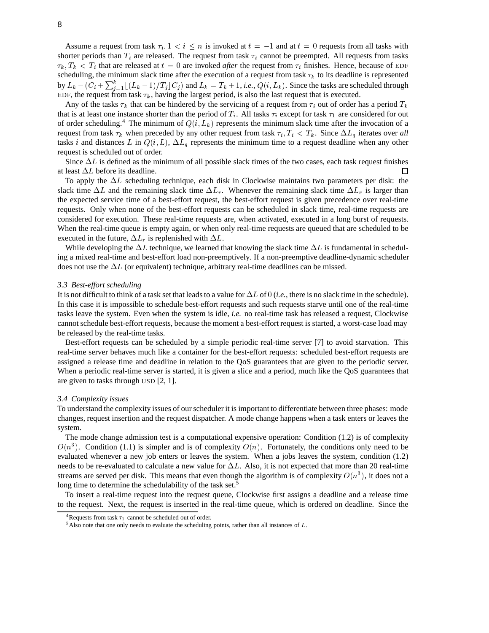Assume a request from task  $\tau_i$ ,  $1 \le i \le n$  is invoked at  $t = -1$  and at  $t = 0$  requests from all tasks with shorter periods than  $T_i$  are released. The request from task  $\tau_i$  cannot be preempted. All requests from tasks  $\tau_k$ ,  $T_k < T_i$  that are released at  $t = 0$  are invoked *after* the request from  $\tau_i$  finishes. Hence, because of EDF scheduling, the minimum slack time after the execution of a request from task  $\tau_k$  to its deadline is represented by  $L_k - (C_i + \sum_{i=1}^k \lfloor (L_k - 1)/T_j \rfloor C_j)$  and  $L_k = T_k + 1$ , *i.e.*,  $Q(i, L_k)$ . Since the tasks are scheduled through EDF, the request from task  $\tau_k$ , having the largest period, is also the last request that is executed.

Any of the tasks  $\tau_k$  that can be hindered by the servicing of a request from  $\tau_i$  out of order has a period  $T_k$ that is at least one instance shorter than the period of  $T_i$ . All tasks  $\tau_i$  except for task  $\tau_1$  are considered for out of order scheduling.<sup>4</sup> The minimum of  $Q(i, L_k)$  represents the minimum slack time after the invocation of a request from task  $\tau_k$  when preceded by any other request from task  $\tau_i$ ,  $T_i < T_k$ . Since  $\Delta L_q$  iterates over *all* tasks i and distances L in  $Q(i, L)$ ,  $\Delta L_q$  represents the minimum time to a request deadline when any other request is scheduled out of order.

Since  $\Delta L$  is defined as the minimum of all possible slack times of the two cases, each task request finishes at least  $\Delta L$  before its deadline.  $\Box$ 

To apply the  $\Delta L$  scheduling technique, each disk in Clockwise maintains two parameters per disk: the slack time  $\Delta L$  and the remaining slack time  $\Delta L_r$ . Whenever the remaining slack time  $\Delta L_r$  is larger than the expected service time of a best-effort request, the best-effort request is given precedence over real-time requests. Only when none of the best-effort requests can be scheduled in slack time, real-time requests are considered for execution. These real-time requests are, when activated, executed in a long burst of requests. When the real-time queue is empty again, or when only real-time requests are queued that are scheduled to be executed in the future,  $\Delta L_r$  is replenished with  $\Delta L$ .

While developing the  $\Delta L$  technique, we learned that knowing the slack time  $\Delta L$  is fundamental in scheduling a mixed real-time and best-effort load non-preemptively. If a non-preemptive deadline-dynamic scheduler does not use the  $\Delta L$  (or equivalent) technique, arbitrary real-time deadlines can be missed.

### *3.3 Best-effort scheduling*

It is not difficult to think of a task set that leads to a value for  $\Delta L$  of 0 (*i.e.*, there is no slack time in the schedule). In this case it is impossible to schedule best-effort requests and such requests starve until one of the real-time tasks leave the system. Even when the system is idle, *i.e.* no real-time task has released a request, Clockwise cannot schedule best-effort requests, because the moment a best-effort request is started, a worst-case load may be released by the real-time tasks.

Best-effort requests can be scheduled by a simple periodic real-time server [7] to avoid starvation. This real-time server behaves much like a container for the best-effort requests: scheduled best-effort requests are assigned a release time and deadline in relation to the QoS guarantees that are given to the periodic server. When a periodic real-time server is started, it is given a slice and a period, much like the QoS guarantees that are given to tasks through USD [2, 1].

#### *3.4 Complexity issues*

To understand the complexity issues of our scheduler it is important to differentiate between three phases: mode changes, request insertion and the request dispatcher. A mode change happens when a task enters or leaves the system.

The mode change admission test is a computational expensive operation: Condition (1.2) is of complexity  $O(n^3)$ . Condition (1.1) is simpler and is of complexity  $O(n)$ . Fortunately, the conditions only need to be evaluated whenever a new job enters or leaves the system. When a jobs leaves the system, condition (1.2) needs to be re-evaluated to calculate a new value for  $\Delta L$ . Also, it is not expected that more than 20 real-time streams are served per disk. This means that even though the algorithm is of complexity  $O(n^3)$ , it does not a long time to determine the schedulability of the task set.<sup>5</sup>

To insert a real-time request into the request queue, Clockwise first assigns a deadline and a release time to the request. Next, the request is inserted in the real-time queue, which is ordered on deadline. Since the

<sup>&</sup>lt;sup>4</sup>Requests from task  $\tau_1$  cannot be scheduled out of order.

 $5$ Also note that one only needs to evaluate the scheduling points, rather than all instances of L.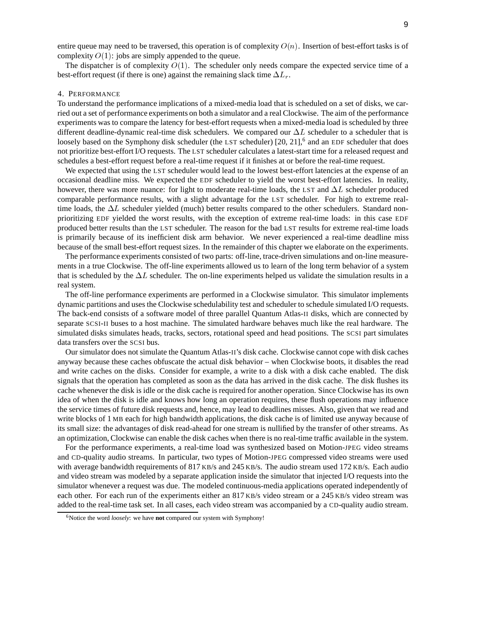The dispatcher is of complexity  $O(1)$ . The scheduler only needs compare the expected service time of a best-effort request (if there is one) against the remaining slack time  $\Delta L_r$ .

#### 4. PERFORMANCE

To understand the performance implications of a mixed-media load that is scheduled on a set of disks, we carried out a set of performance experiments on both a simulator and a real Clockwise. The aim of the performance experiments was to compare the latency for best-effort requests when a mixed-media load is scheduled by three different deadline-dynamic real-time disk schedulers. We compared our  $\Delta L$  scheduler to a scheduler that is loosely based on the Symphony disk scheduler (the LST scheduler)  $[20, 21]$ , and an EDF scheduler that does not prioritize best-effort I/O requests. The LST scheduler calculates a latest-start time for a released request and schedules a best-effort request before a real-time request if it finishes at or before the real-time request.

We expected that using the LST scheduler would lead to the lowest best-effort latencies at the expense of an occasional deadline miss. We expected the EDF scheduler to yield the worst best-effort latencies. In reality, however, there was more nuance: for light to moderate real-time loads, the LST and  $\Delta L$  scheduler produced comparable performance results, with a slight advantage for the LST scheduler. For high to extreme realtime loads, the  $\Delta L$  scheduler yielded (much) better results compared to the other schedulers. Standard nonprioritizing EDF yielded the worst results, with the exception of extreme real-time loads: in this case EDF produced better results than the LST scheduler. The reason for the bad LST results for extreme real-time loads is primarily because of its inefficient disk arm behavior. We never experienced a real-time deadline miss because of the small best-effort request sizes. In the remainder of this chapter we elaborate on the experiments.

The performance experiments consisted of two parts: off-line, trace-driven simulations and on-line measurements in a true Clockwise. The off-line experiments allowed us to learn of the long term behavior of a system that is scheduled by the  $\Delta L$  scheduler. The on-line experiments helped us validate the simulation results in a real system.

The off-line performance experiments are performed in a Clockwise simulator. This simulator implements dynamic partitions and uses the Clockwise schedulability test and scheduler to schedule simulated I/O requests. The back-end consists of a software model of three parallel Quantum Atlas-II disks, which are connected by separate SCSI-II buses to a host machine. The simulated hardware behaves much like the real hardware. The simulated disks simulates heads, tracks, sectors, rotational speed and head positions. The SCSI part simulates data transfers over the SCSI bus.

Our simulator does not simulate the Quantum Atlas-II's disk cache. Clockwise cannot cope with disk caches anyway because these caches obfuscate the actual disk behavior – when Clockwise boots, it disables the read and write caches on the disks. Consider for example, a write to a disk with a disk cache enabled. The disk signals that the operation has completed as soon as the data has arrived in the disk cache. The disk flushes its cache whenever the disk is idle or the disk cache is required for another operation. Since Clockwise has its own idea of when the disk is idle and knows how long an operation requires, these flush operations may influence the service times of future disk requests and, hence, may lead to deadlines misses. Also, given that we read and write blocks of 1 MB each for high bandwidth applications, the disk cache is of limited use anyway because of its small size: the advantages of disk read-ahead for one stream is nullified by the transfer of other streams. As an optimization, Clockwise can enable the disk caches when there is no real-time traffic available in the system.

For the performance experiments, a real-time load was synthesized based on Motion-JPEG video streams and CD-quality audio streams. In particular, two types of Motion-JPEG compressed video streams were used with average bandwidth requirements of 817 KB/s and 245 KB/s. The audio stream used 172 KB/s. Each audio and video stream was modeled by a separate application inside the simulator that injected I/O requests into the simulator whenever a request was due. The modeled continuous-media applications operated independently of each other. For each run of the experiments either an 817 KB/s video stream or a 245 KB/s video stream was added to the real-time task set. In all cases, each video stream was accompanied by a CD-quality audio stream.

<sup>&</sup>lt;sup>6</sup>Notice the word *loosely*: we have **not** compared our system with Symphony!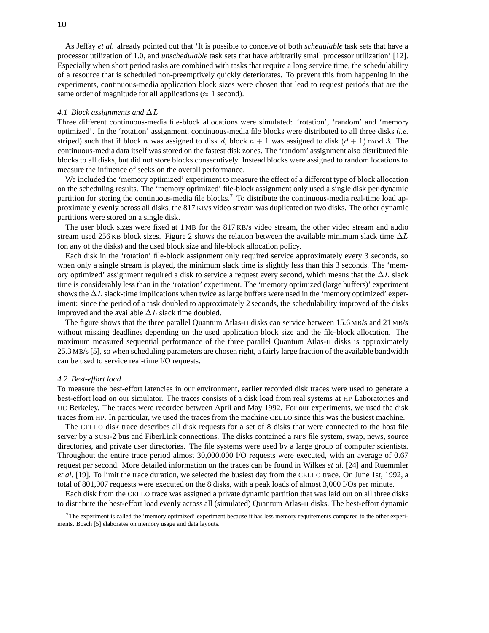As Jeffay *et al.* already pointed out that 'It is possible to conceive of both *schedulable* task sets that have a processor utilization of 1.0, and *unschedulable* task sets that have arbitrarily small processor utilization' [12]. Especially when short period tasks are combined with tasks that require a long service time, the schedulability of a resource that is scheduled non-preemptively quickly deteriorates. To prevent this from happening in the experiments, continuous-media application block sizes were chosen that lead to request periods that are the same order of magnitude for all applications ( $\approx 1$  second).

### 4.1 Block assignments and  $\Delta L$

Three different continuous-media file-block allocations were simulated: 'rotation', 'random' and 'memory optimized'. In the 'rotation' assignment, continuous-media file blocks were distributed to all three disks (*i.e.* striped) such that if block n was assigned to disk d, block  $n + 1$  was assigned to disk  $(d + 1)$  mod 3. The continuous-media data itself was stored on the fastest disk zones. The 'random' assignment also distributed file blocks to all disks, but did not store blocks consecutively. Instead blocks were assigned to random locations to measure the influence of seeks on the overall performance.

We included the 'memory optimized' experiment to measure the effect of a different type of block allocation on the scheduling results. The 'memory optimized' file-block assignment only used a single disk per dynamic partition for storing the continuous-media file blocks.<sup>7</sup> To distribute the continuous-media real-time load approximately evenly across all disks, the 817 KB/s video stream was duplicated on two disks. The other dynamic partitions were stored on a single disk.

The user block sizes were fixed at 1 MB for the 817 KB/s video stream, the other video stream and audio stream used 256 KB block sizes. Figure 2 shows the relation between the available minimum slack time  $\Delta L$ (on any of the disks) and the used block size and file-block allocation policy.

Each disk in the 'rotation' file-block assignment only required service approximately every 3 seconds, so when only a single stream is played, the minimum slack time is slightly less than this 3 seconds. The 'memory optimized' assignment required a disk to service a request every second, which means that the  $\Delta L$  slack time is considerably less than in the 'rotation' experiment. The 'memory optimized (large buffers)' experiment shows the  $\Delta L$  slack-time implications when twice as large buffers were used in the 'memory optimized' experiment: since the period of a task doubled to approximately 2 seconds, the schedulability improved of the disks improved and the available  $\Delta L$  slack time doubled.

The figure shows that the three parallel Quantum Atlas-II disks can service between 15.6 MB/s and 21 MB/s without missing deadlines depending on the used application block size and the file-block allocation. The maximum measured sequential performance of the three parallel Quantum Atlas-II disks is approximately 25.3 MB/s [5], so when scheduling parameters are chosen right, a fairly large fraction of the available bandwidth can be used to service real-time I/O requests.

#### *4.2 Best-effort load*

To measure the best-effort latencies in our environment, earlier recorded disk traces were used to generate a best-effort load on our simulator. The traces consists of a disk load from real systems at HP Laboratories and UC Berkeley. The traces were recorded between April and May 1992. For our experiments, we used the disk traces from HP. In particular, we used the traces from the machine CELLO since this was the busiest machine.

The CELLO disk trace describes all disk requests for a set of 8 disks that were connected to the host file server by a SCSI-2 bus and FiberLink connections. The disks contained a NFS file system, swap, news, source directories, and private user directories. The file systems were used by a large group of computer scientists. Throughout the entire trace period almost 30,000,000 I/O requests were executed, with an average of 0.67 request per second. More detailed information on the traces can be found in Wilkes *et al.* [24] and Ruemmler *et al.* [19]. To limit the trace duration, we selected the busiest day from the CELLO trace. On June 1st, 1992, a total of 801,007 requests were executed on the 8 disks, with a peak loads of almost 3,000 I/Os per minute.

Each disk from the CELLO trace was assigned a private dynamic partition that was laid out on all three disks to distribute the best-effort load evenly across all (simulated) Quantum Atlas-II disks. The best-effort dynamic

 $7$ The experiment is called the 'memory optimized' experiment because it has less memory requirements compared to the other experiments. Bosch [5] elaborates on memory usage and data layouts.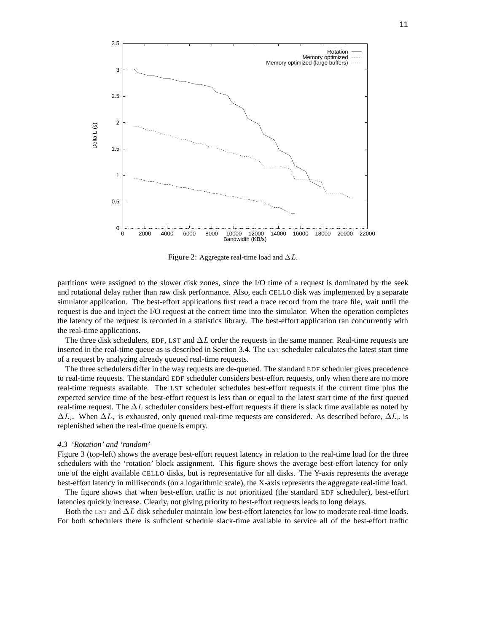

Figure 2: Aggregate real-time load and  $\Delta L$ .

partitions were assigned to the slower disk zones, since the I/O time of a request is dominated by the seek and rotational delay rather than raw disk performance. Also, each CELLO disk was implemented by a separate simulator application. The best-effort applications first read a trace record from the trace file, wait until the request is due and inject the I/O request at the correct time into the simulator. When the operation completes the latency of the request is recorded in a statistics library. The best-effort application ran concurrently with the real-time applications.

The three disk schedulers, EDF, LST and  $\Delta L$  order the requests in the same manner. Real-time requests are inserted in the real-time queue as is described in Section 3.4. The LST scheduler calculates the latest start time of a request by analyzing already queued real-time requests.

The three schedulers differ in the way requests are de-queued. The standard EDF scheduler gives precedence to real-time requests. The standard EDF scheduler considers best-effort requests, only when there are no more real-time requests available. The LST scheduler schedules best-effort requests if the current time plus the expected service time of the best-effort request is less than or equal to the latest start time of the first queued real-time request. The  $\Delta L$  scheduler considers best-effort requests if there is slack time available as noted by  $\Delta L_r$ . When  $\Delta L_r$  is exhausted, only queued real-time requests are considered. As described before,  $\Delta L_r$  is replenished when the real-time queue is empty.

#### *4.3 'Rotation' and 'random'*

Figure 3 (top-left) shows the average best-effort request latency in relation to the real-time load for the three schedulers with the 'rotation' block assignment. This figure shows the average best-effort latency for only one of the eight available CELLO disks, but is representative for all disks. The Y-axis represents the average best-effort latency in milliseconds (on a logarithmic scale), the X-axis represents the aggregate real-time load.

The figure shows that when best-effort traffic is not prioritized (the standard EDF scheduler), best-effort latencies quickly increase. Clearly, not giving priority to best-effort requests leads to long delays.

Both the LST and  $\Delta L$  disk scheduler maintain low best-effort latencies for low to moderate real-time loads. For both schedulers there is sufficient schedule slack-time available to service all of the best-effort traffic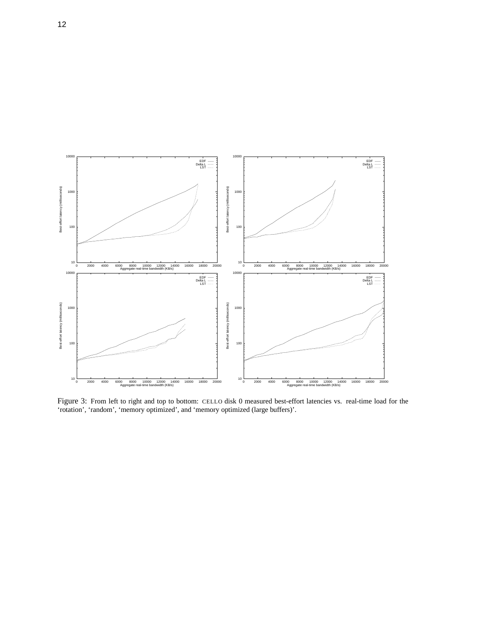

Figure 3: From left to right and top to bottom: CELLO disk 0 measured best-effort latencies vs. real-time load for the 'rotation', 'random', 'memory optimized', and 'memory optimized (large buffers)'.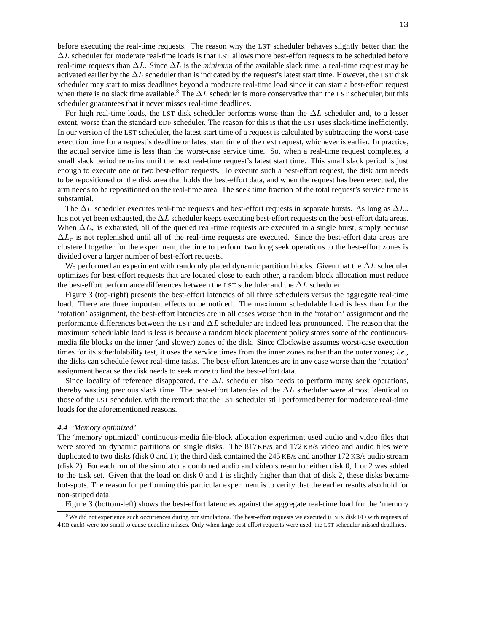before executing the real-time requests. The reason why the LST scheduler behaves slightly better than the  $\Delta L$  scheduler for moderate real-time loads is that LST allows more best-effort requests to be scheduled before real-time requests than  $\Delta L$ . Since  $\Delta L$  is the *minimum* of the available slack time, a real-time request may be activated earlier by the  $\Delta L$  scheduler than is indicated by the request's latest start time. However, the LST disk scheduler may start to miss deadlines beyond a moderate real-time load since it can start a best-effort request when there is no slack time available.<sup>8</sup> The  $\Delta L$  scheduler is more conservative than the LST scheduler, but this scheduler guarantees that it never misses real-time deadlines.

For high real-time loads, the LST disk scheduler performs worse than the  $\Delta L$  scheduler and, to a lesser extent, worse than the standard EDF scheduler. The reason for this is that the LST uses slack-time inefficiently. In our version of the LST scheduler, the latest start time of a request is calculated by subtracting the worst-case execution time for a request's deadline or latest start time of the next request, whichever is earlier. In practice, the actual service time is less than the worst-case service time. So, when a real-time request completes, a small slack period remains until the next real-time request's latest start time. This small slack period is just enough to execute one or two best-effort requests. To execute such a best-effort request, the disk arm needs to be repositioned on the disk area that holds the best-effort data, and when the request has been executed, the arm needs to be repositioned on the real-time area. The seek time fraction of the total request's service time is substantial.

The  $\Delta L$  scheduler executes real-time requests and best-effort requests in separate bursts. As long as  $\Delta L_r$ has not yet been exhausted, the  $\Delta L$  scheduler keeps executing best-effort requests on the best-effort data areas. When  $\Delta L_r$  is exhausted, all of the queued real-time requests are executed in a single burst, simply because  $\Delta L_r$  is not replenished until all of the real-time requests are executed. Since the best-effort data areas are clustered together for the experiment, the time to perform two long seek operations to the best-effort zones is divided over a larger number of best-effort requests.

We performed an experiment with randomly placed dynamic partition blocks. Given that the  $\Delta L$  scheduler optimizes for best-effort requests that are located close to each other, a random block allocation must reduce the best-effort performance differences between the LST scheduler and the  $\Delta L$  scheduler.

Figure 3 (top-right) presents the best-effort latencies of all three schedulers versus the aggregate real-time load. There are three important effects to be noticed. The maximum schedulable load is less than for the 'rotation' assignment, the best-effort latencies are in all cases worse than in the 'rotation' assignment and the performance differences between the LST and  $\Delta L$  scheduler are indeed less pronounced. The reason that the maximum schedulable load is less is because a random block placement policy stores some of the continuousmedia file blocks on the inner (and slower) zones of the disk. Since Clockwise assumes worst-case execution times for its schedulability test, it uses the service times from the inner zones rather than the outer zones; *i.e.*, the disks can schedule fewer real-time tasks. The best-effort latencies are in any case worse than the 'rotation' assignment because the disk needs to seek more to find the best-effort data.

Since locality of reference disappeared, the  $\Delta L$  scheduler also needs to perform many seek operations, thereby wasting precious slack time. The best-effort latencies of the  $\Delta L$  scheduler were almost identical to those of the LST scheduler, with the remark that the LST scheduler still performed better for moderate real-time loads for the aforementioned reasons.

#### *4.4 'Memory optimized'*

The 'memory optimized' continuous-media file-block allocation experiment used audio and video files that were stored on dynamic partitions on single disks. The 817KB/s and 172 KB/s video and audio files were duplicated to two disks (disk 0 and 1); the third disk contained the 245 KB/s and another 172 KB/s audio stream (disk 2). For each run of the simulator a combined audio and video stream for either disk 0, 1 or 2 was added to the task set. Given that the load on disk 0 and 1 is slightly higher than that of disk 2, these disks became hot-spots. The reason for performing this particular experiment is to verify that the earlier results also hold for non-striped data.

Figure 3 (bottom-left) shows the best-effort latencies against the aggregate real-time load for the 'memory

<sup>&</sup>lt;sup>8</sup>We did not experience such occurrences during our simulations. The best-effort requests we executed (UNIX disk I/O with requests of 4 KB each) were too small to cause deadline misses. Only when large best-effort requests were used, the LST scheduler missed deadlines.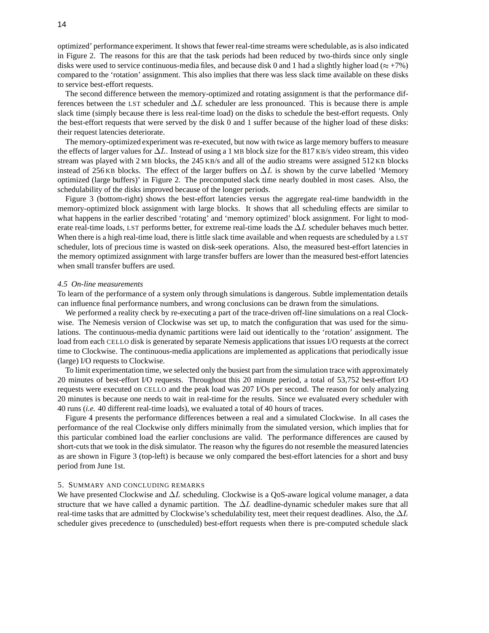optimized' performance experiment. It shows that fewer real-time streams were schedulable, as is also indicated in Figure 2. The reasons for this are that the task periods had been reduced by two-thirds since only single disks were used to service continuous-media files, and because disk 0 and 1 had a slightly higher load ( $\approx$  +7%) compared to the 'rotation' assignment. This also implies that there was less slack time available on these disks to service best-effort requests.

The second difference between the memory-optimized and rotating assignment is that the performance differences between the LST scheduler and  $\Delta L$  scheduler are less pronounced. This is because there is ample slack time (simply because there is less real-time load) on the disks to schedule the best-effort requests. Only the best-effort requests that were served by the disk 0 and 1 suffer because of the higher load of these disks: their request latencies deteriorate.

The memory-optimized experiment was re-executed, but now with twice as large memory buffers to measure the effects of larger values for  $\Delta L$ . Instead of using a 1 MB block size for the 817 KB/s video stream, this video stream was played with 2 MB blocks, the 245 KB/s and all of the audio streams were assigned 512 KB blocks instead of 256 KB blocks. The effect of the larger buffers on  $\Delta L$  is shown by the curve labelled 'Memory optimized (large buffers)' in Figure 2. The precomputed slack time nearly doubled in most cases. Also, the schedulability of the disks improved because of the longer periods.

Figure 3 (bottom-right) shows the best-effort latencies versus the aggregate real-time bandwidth in the memory-optimized block assignment with large blocks. It shows that all scheduling effects are similar to what happens in the earlier described 'rotating' and 'memory optimized' block assignment. For light to moderate real-time loads, LST performs better, for extreme real-time loads the  $\Delta L$  scheduler behaves much better. When there is a high real-time load, there is little slack time available and when requests are scheduled by a LST scheduler, lots of precious time is wasted on disk-seek operations. Also, the measured best-effort latencies in the memory optimized assignment with large transfer buffers are lower than the measured best-effort latencies when small transfer buffers are used.

#### *4.5 On-line measurements*

To learn of the performance of a system only through simulations is dangerous. Subtle implementation details can influence final performance numbers, and wrong conclusions can be drawn from the simulations.

We performed a reality check by re-executing a part of the trace-driven off-line simulations on a real Clockwise. The Nemesis version of Clockwise was set up, to match the configuration that was used for the simulations. The continuous-media dynamic partitions were laid out identically to the 'rotation' assignment. The load from each CELLO disk is generated by separate Nemesis applications that issues I/O requests at the correct time to Clockwise. The continuous-media applications are implemented as applications that periodically issue (large) I/O requests to Clockwise.

To limit experimentation time, we selected only the busiest part from the simulation trace with approximately 20 minutes of best-effort I/O requests. Throughout this 20 minute period, a total of 53,752 best-effort I/O requests were executed on CELLO and the peak load was 207 I/Os per second. The reason for only analyzing 20 minutes is because one needs to wait in real-time for the results. Since we evaluated every scheduler with 40 runs (*i.e.* 40 different real-time loads), we evaluated a total of 40 hours of traces.

Figure 4 presents the performance differences between a real and a simulated Clockwise. In all cases the performance of the real Clockwise only differs minimally from the simulated version, which implies that for this particular combined load the earlier conclusions are valid. The performance differences are caused by short-cuts that we took in the disk simulator. The reason why the figures do not resemble the measured latencies as are shown in Figure 3 (top-left) is because we only compared the best-effort latencies for a short and busy period from June 1st.

## 5. SUMMARY AND CONCLUDING REMARKS

We have presented Clockwise and  $\Delta L$  scheduling. Clockwise is a QoS-aware logical volume manager, a data structure that we have called a dynamic partition. The  $\Delta L$  deadline-dynamic scheduler makes sure that all real-time tasks that are admitted by Clockwise's schedulability test, meet their request deadlines. Also, the  $\Delta L$ scheduler gives precedence to (unscheduled) best-effort requests when there is pre-computed schedule slack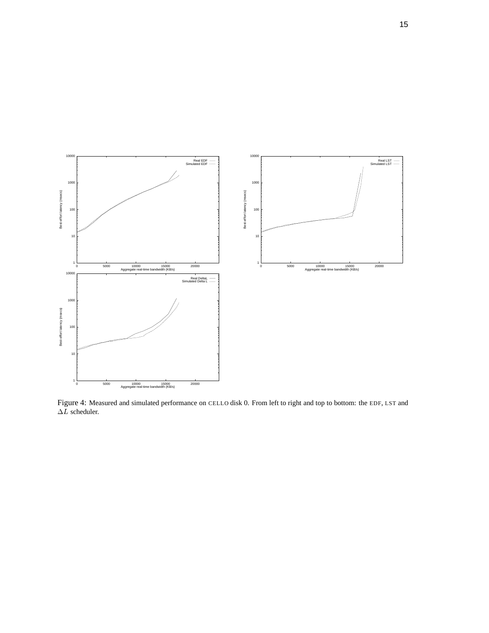

Figure 4: Measured and simulated performance on CELLO disk 0. From left to right and top to bottom: the EDF, LST and  $\Delta L$  scheduler.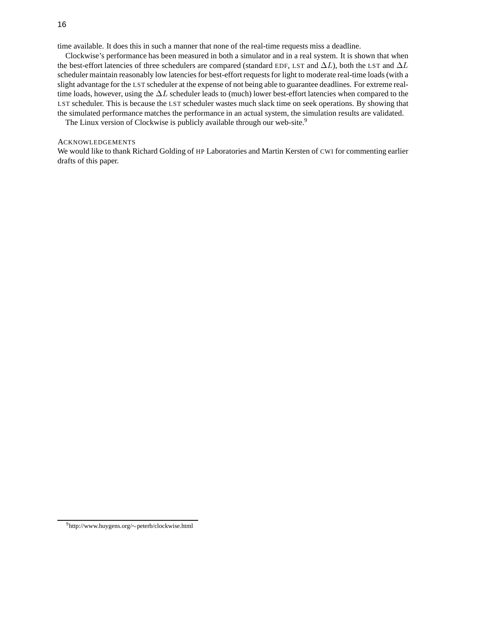time available. It does this in such a manner that none of the real-time requests miss a deadline.

Clockwise's performance has been measured in both a simulator and in a real system. It is shown that when the best-effort latencies of three schedulers are compared (standard EDF, LST and  $\Delta L$ ), both the LST and  $\Delta L$ scheduler maintain reasonably low latencies for best-effort requests for light to moderate real-time loads (with a slight advantage for the LST scheduler at the expense of not being able to guarantee deadlines. For extreme realtime loads, however, using the  $\Delta L$  scheduler leads to (much) lower best-effort latencies when compared to the LST scheduler. This is because the LST scheduler wastes much slack time on seek operations. By showing that the simulated performance matches the performance in an actual system, the simulation results are validated.

The Linux version of Clockwise is publicly available through our web-site.<sup>9</sup>

## ACKNOWLEDGEMENTS

We would like to thank Richard Golding of HP Laboratories and Martin Kersten of CWI for commenting earlier drafts of this paper.

16

 $9$ http://www.huygens.org/ $\sim$ peterb/clockwise.html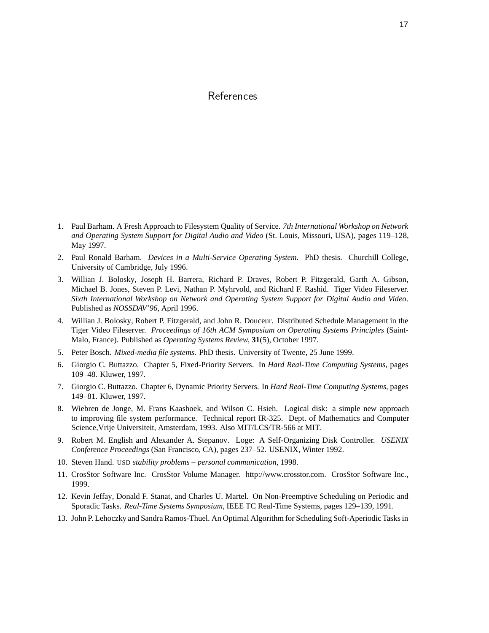# References

- 1. Paul Barham. A Fresh Approach to Filesystem Quality of Service. *7th International Workshop on Network and Operating System Support for Digital Audio and Video* (St. Louis, Missouri, USA), pages 119–128, May 1997.
- 2. Paul Ronald Barham. *Devices in a Multi-Service Operating System*. PhD thesis. Churchill College, University of Cambridge, July 1996.
- 3. Willian J. Bolosky, Joseph H. Barrera, Richard P. Draves, Robert P. Fitzgerald, Garth A. Gibson, Michael B. Jones, Steven P. Levi, Nathan P. Myhrvold, and Richard F. Rashid. Tiger Video Fileserver. *Sixth International Workshop on Network and Operating System Support for Digital Audio and Video*. Published as *NOSSDAV'96*, April 1996.
- 4. Willian J. Bolosky, Robert P. Fitzgerald, and John R. Douceur. Distributed Schedule Management in the Tiger Video Fileserver. *Proceedings of 16th ACM Symposium on Operating Systems Principles* (Saint-Malo, France). Published as *Operating Systems Review*, **31**(5), October 1997.
- 5. Peter Bosch. *Mixed-media file systems*. PhD thesis. University of Twente, 25 June 1999.
- 6. Giorgio C. Buttazzo. Chapter 5, Fixed-Priority Servers. In *Hard Real-Time Computing Systems*, pages 109–48. Kluwer, 1997.
- 7. Giorgio C. Buttazzo. Chapter 6, Dynamic Priority Servers. In *Hard Real-Time Computing Systems*, pages 149–81. Kluwer, 1997.
- 8. Wiebren de Jonge, M. Frans Kaashoek, and Wilson C. Hsieh. Logical disk: a simple new approach to improving file system performance. Technical report IR-325. Dept. of Mathematics and Computer Science,Vrije Universiteit, Amsterdam, 1993. Also MIT/LCS/TR-566 at MIT.
- 9. Robert M. English and Alexander A. Stepanov. Loge: A Self-Organizing Disk Controller. *USENIX Conference Proceedings* (San Francisco, CA), pages 237–52. USENIX, Winter 1992.
- 10. Steven Hand. USD *stability problems personal communication*, 1998.
- 11. CrosStor Software Inc. CrosStor Volume Manager. http://www.crosstor.com. CrosStor Software Inc., 1999.
- 12. Kevin Jeffay, Donald F. Stanat, and Charles U. Martel. On Non-Preemptive Scheduling on Periodic and Sporadic Tasks. *Real-Time Systems Symposium*, IEEE TC Real-Time Systems, pages 129–139, 1991.
- 13. John P. Lehoczky and Sandra Ramos-Thuel. An Optimal Algorithm for Scheduling Soft-Aperiodic Tasks in